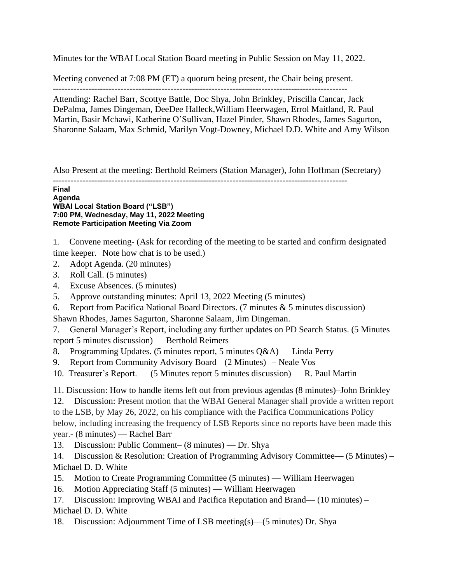Minutes for the WBAI Local Station Board meeting in Public Session on May 11, 2022.

Meeting convened at 7:08 PM (ET) a quorum being present, the Chair being present.

----------------------------------------------------------------------------------------------------

Attending: Rachel Barr, Scottye Battle, Doc Shya, John Brinkley, Priscilla Cancar, Jack DePalma, James Dingeman, DeeDee Halleck,William Heerwagen, Errol Maitland, R. Paul Martin, Basir Mchawi, Katherine O'Sullivan, Hazel Pinder, Shawn Rhodes, James Sagurton, Sharonne Salaam, Max Schmid, Marilyn Vogt-Downey, Michael D.D. White and Amy Wilson

Also Present at the meeting: Berthold Reimers (Station Manager), John Hoffman (Secretary)

----------------------------------------------------------------------------------------------------

**Final Agenda WBAI Local Station Board ("LSB") 7:00 PM, Wednesday, May 11, 2022 Meeting Remote Participation Meeting Via Zoom**

1. Convene meeting- (Ask for recording of the meeting to be started and confirm designated time keeper. Note how chat is to be used.)

- 2. Adopt Agenda. (20 minutes)
- 3. Roll Call. (5 minutes)
- 4. Excuse Absences. (5 minutes)
- 5. Approve outstanding minutes: April 13, 2022 Meeting (5 minutes)
- 6. Report from Pacifica National Board Directors. (7 minutes  $& 5$  minutes discussion) —

Shawn Rhodes, James Sagurton, Sharonne Salaam, Jim Dingeman.

7. General Manager's Report, including any further updates on PD Search Status. (5 Minutes report 5 minutes discussion) — Berthold Reimers

- 8. Programming Updates. (5 minutes report, 5 minutes Q&A) Linda Perry
- 9. Report from Community Advisory Board (2 Minutes) Neale Vos
- 10. Treasurer's Report. (5 Minutes report 5 minutes discussion) R. Paul Martin

11. Discussion: How to handle items left out from previous agendas (8 minutes)–John Brinkley

12. Discussion: Present motion that the WBAI General Manager shall provide a written report to the LSB, by May 26, 2022, on his compliance with the Pacifica Communications Policy below, including increasing the frequency of LSB Reports since no reports have been made this year.- (8 minutes) — Rachel Barr

13. Discussion: Public Comment– (8 minutes) — Dr. Shya

14. Discussion & Resolution: Creation of Programming Advisory Committee— (5 Minutes) – Michael D. D. White

- 15. Motion to Create Programming Committee (5 minutes) William Heerwagen
- 16. Motion Appreciating Staff (5 minutes) William Heerwagen

17. Discussion: Improving WBAI and Pacifica Reputation and Brand— (10 minutes) – Michael D. D. White

18. Discussion: Adjournment Time of LSB meeting(s)—(5 minutes) Dr. Shya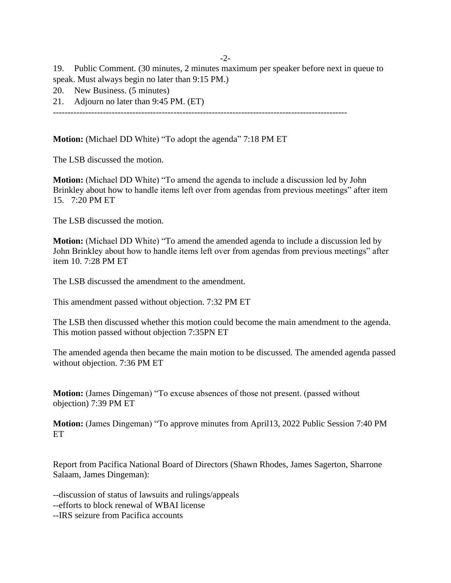-2-

19. Public Comment. (30 minutes, 2 minutes maximum per speaker before next in queue to speak. Must always begin no later than 9:15 PM.)

- 20. New Business. (5 minutes)
- 21. Adjourn no later than 9:45 PM. (ET)

----------------------------------------------------------------------------------------------------

**Motion:** (Michael DD White) "To adopt the agenda" 7:18 PM ET

The LSB discussed the motion.

**Motion:** (Michael DD White) "To amend the agenda to include a discussion led by John Brinkley about how to handle items left over from agendas from previous meetings" after item 15. 7:20 PM ET

The LSB discussed the motion.

**Motion:** (Michael DD White) "To amend the amended agenda to include a discussion led by John Brinkley about how to handle items left over from agendas from previous meetings" after item 10. 7:28 PM ET

The LSB discussed the amendment to the amendment.

This amendment passed without objection. 7:32 PM ET

The LSB then discussed whether this motion could become the main amendment to the agenda. This motion passed without objection 7:35PN ET

The amended agenda then became the main motion to be discussed. The amended agenda passed without objection. 7:36 PM ET

**Motion:** (James Dingeman) "To excuse absences of those not present. (passed without objection) 7:39 PM ET

**Motion:** (James Dingeman) "To approve minutes from April13, 2022 Public Session 7:40 PM ET

Report from Pacifica National Board of Directors (Shawn Rhodes, James Sagerton, Sharrone Salaam, James Dingeman):

--discussion of status of lawsuits and rulings/appeals

--efforts to block renewal of WBAI license

--IRS seizure from Pacifica accounts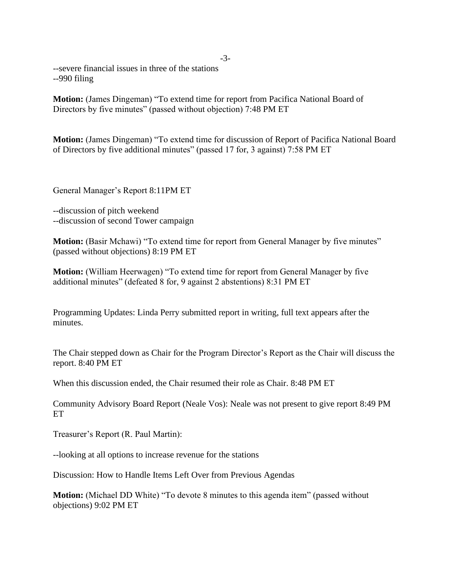--severe financial issues in three of the stations --990 filing

**Motion:** (James Dingeman) "To extend time for report from Pacifica National Board of Directors by five minutes" (passed without objection) 7:48 PM ET

**Motion:** (James Dingeman) "To extend time for discussion of Report of Pacifica National Board of Directors by five additional minutes" (passed 17 for, 3 against) 7:58 PM ET

General Manager's Report 8:11PM ET

--discussion of pitch weekend --discussion of second Tower campaign

**Motion:** (Basir Mchawi) "To extend time for report from General Manager by five minutes" (passed without objections) 8:19 PM ET

**Motion:** (William Heerwagen) "To extend time for report from General Manager by five additional minutes" (defeated 8 for, 9 against 2 abstentions) 8:31 PM ET

Programming Updates: Linda Perry submitted report in writing, full text appears after the minutes.

The Chair stepped down as Chair for the Program Director's Report as the Chair will discuss the report. 8:40 PM ET

When this discussion ended, the Chair resumed their role as Chair. 8:48 PM ET

Community Advisory Board Report (Neale Vos): Neale was not present to give report 8:49 PM ET

Treasurer's Report (R. Paul Martin):

--looking at all options to increase revenue for the stations

Discussion: How to Handle Items Left Over from Previous Agendas

**Motion:** (Michael DD White) "To devote 8 minutes to this agenda item" (passed without objections) 9:02 PM ET

## -3-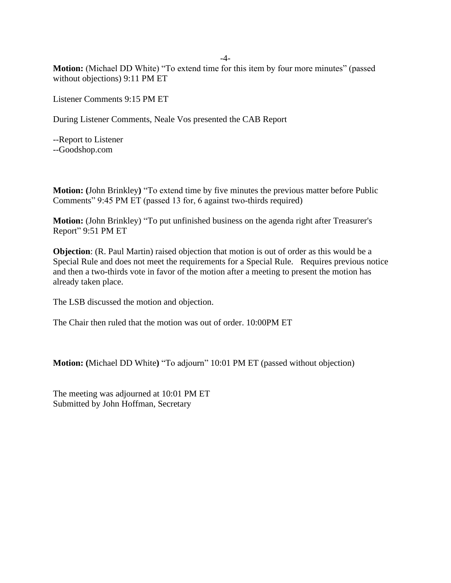-4-

**Motion:** (Michael DD White) "To extend time for this item by four more minutes" (passed without objections) 9:11 PM ET

Listener Comments 9:15 PM ET

During Listener Comments, Neale Vos presented the CAB Report

--Report to Listener --Goodshop.com

**Motion: (**John Brinkley**)** "To extend time by five minutes the previous matter before Public Comments" 9:45 PM ET (passed 13 for, 6 against two-thirds required)

**Motion:** (John Brinkley) "To put unfinished business on the agenda right after Treasurer's Report" 9:51 PM ET

**Objection**: (R. Paul Martin) raised objection that motion is out of order as this would be a Special Rule and does not meet the requirements for a Special Rule. Requires previous notice and then a two-thirds vote in favor of the motion after a meeting to present the motion has already taken place.

The LSB discussed the motion and objection.

The Chair then ruled that the motion was out of order. 10:00PM ET

**Motion: (**Michael DD White**)** "To adjourn" 10:01 PM ET (passed without objection)

The meeting was adjourned at 10:01 PM ET Submitted by John Hoffman, Secretary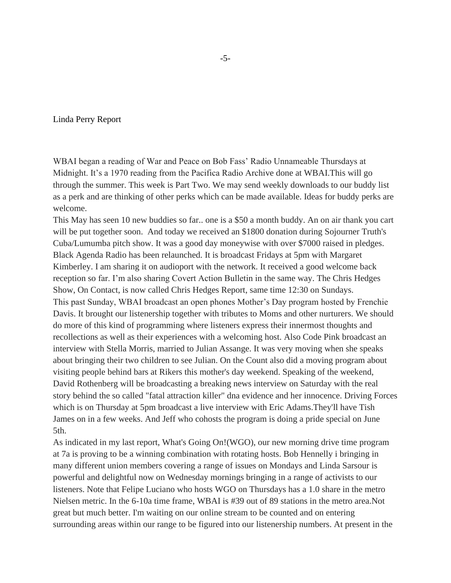Linda Perry Report

WBAI began a reading of War and Peace on Bob Fass' Radio Unnameable Thursdays at Midnight. It's a 1970 reading from the Pacifica Radio Archive done at WBAI.This will go through the summer. This week is Part Two. We may send weekly downloads to our buddy list as a perk and are thinking of other perks which can be made available. Ideas for buddy perks are welcome.

This May has seen 10 new buddies so far.. one is a \$50 a month buddy. An on air thank you cart will be put together soon. And today we received an \$1800 donation during Sojourner Truth's Cuba/Lumumba pitch show. It was a good day moneywise with over \$7000 raised in pledges. Black Agenda Radio has been relaunched. It is broadcast Fridays at 5pm with Margaret Kimberley. I am sharing it on audioport with the network. It received a good welcome back reception so far. I'm also sharing Covert Action Bulletin in the same way. The Chris Hedges Show, On Contact, is now called Chris Hedges Report, same time 12:30 on Sundays. This past Sunday, WBAI broadcast an open phones Mother's Day program hosted by Frenchie Davis. It brought our listenership together with tributes to Moms and other nurturers. We should do more of this kind of programming where listeners express their innermost thoughts and recollections as well as their experiences with a welcoming host. Also Code Pink broadcast an interview with Stella Morris, married to Julian Assange. It was very moving when she speaks about bringing their two children to see Julian. On the Count also did a moving program about visiting people behind bars at Rikers this mother's day weekend. Speaking of the weekend, David Rothenberg will be broadcasting a breaking news interview on Saturday with the real story behind the so called "fatal attraction killer" dna evidence and her innocence. Driving Forces which is on Thursday at 5pm broadcast a live interview with Eric Adams.They'll have Tish James on in a few weeks. And Jeff who cohosts the program is doing a pride special on June 5th.

As indicated in my last report, What's Going On!(WGO), our new morning drive time program at 7a is proving to be a winning combination with rotating hosts. Bob Hennelly i bringing in many different union members covering a range of issues on Mondays and Linda Sarsour is powerful and delightful now on Wednesday mornings bringing in a range of activists to our listeners. Note that Felipe Luciano who hosts WGO on Thursdays has a 1.0 share in the metro Nielsen metric. In the 6-10a time frame, WBAI is #39 out of 89 stations in the metro area.Not great but much better. I'm waiting on our online stream to be counted and on entering surrounding areas within our range to be figured into our listenership numbers. At present in the